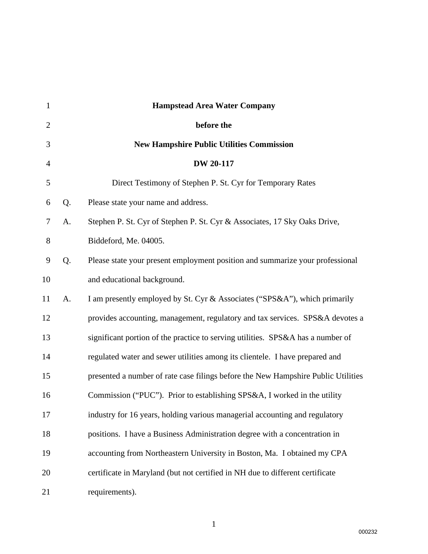| $\mathbf{1}$   |    | <b>Hampstead Area Water Company</b>                                               |
|----------------|----|-----------------------------------------------------------------------------------|
| $\overline{2}$ |    | before the                                                                        |
| 3              |    | <b>New Hampshire Public Utilities Commission</b>                                  |
| $\overline{4}$ |    | <b>DW 20-117</b>                                                                  |
| 5              |    | Direct Testimony of Stephen P. St. Cyr for Temporary Rates                        |
| 6              | Q. | Please state your name and address.                                               |
| 7              | A. | Stephen P. St. Cyr of Stephen P. St. Cyr & Associates, 17 Sky Oaks Drive,         |
| 8              |    | Biddeford, Me. 04005.                                                             |
| 9              | Q. | Please state your present employment position and summarize your professional     |
| 10             |    | and educational background.                                                       |
| 11             | A. | I am presently employed by St. Cyr & Associates ("SPS&A"), which primarily        |
| 12             |    | provides accounting, management, regulatory and tax services. SPS&A devotes a     |
| 13             |    | significant portion of the practice to serving utilities. SPS&A has a number of   |
| 14             |    | regulated water and sewer utilities among its clientele. I have prepared and      |
| 15             |    | presented a number of rate case filings before the New Hampshire Public Utilities |
| 16             |    | Commission ("PUC"). Prior to establishing SPS&A, I worked in the utility          |
| 17             |    | industry for 16 years, holding various managerial accounting and regulatory       |
| 18             |    | positions. I have a Business Administration degree with a concentration in        |
| 19             |    | accounting from Northeastern University in Boston, Ma. I obtained my CPA          |
| 20             |    | certificate in Maryland (but not certified in NH due to different certificate     |
| 21             |    | requirements).                                                                    |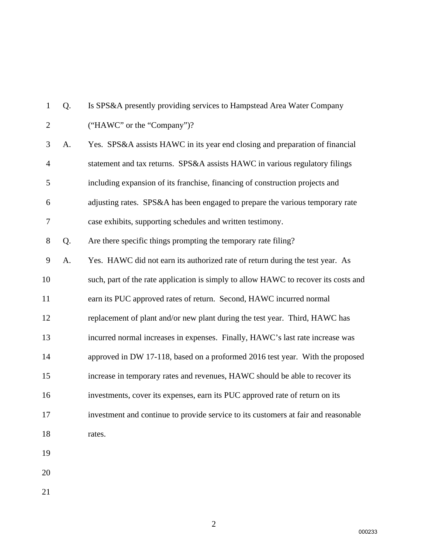| 1              | Q. | Is SPS&A presently providing services to Hampstead Area Water Company               |
|----------------|----|-------------------------------------------------------------------------------------|
| $\overline{2}$ |    | ("HAWC" or the "Company")?                                                          |
| 3              | A. | Yes. SPS&A assists HAWC in its year end closing and preparation of financial        |
| $\overline{4}$ |    | statement and tax returns. SPS&A assists HAWC in various regulatory filings         |
| 5              |    | including expansion of its franchise, financing of construction projects and        |
| 6              |    | adjusting rates. SPS&A has been engaged to prepare the various temporary rate       |
| 7              |    | case exhibits, supporting schedules and written testimony.                          |
| $8\,$          | Q. | Are there specific things prompting the temporary rate filing?                      |
| 9              | A. | Yes. HAWC did not earn its authorized rate of return during the test year. As       |
| 10             |    | such, part of the rate application is simply to allow HAWC to recover its costs and |
| 11             |    | earn its PUC approved rates of return. Second, HAWC incurred normal                 |
| 12             |    | replacement of plant and/or new plant during the test year. Third, HAWC has         |
| 13             |    | incurred normal increases in expenses. Finally, HAWC's last rate increase was       |
| 14             |    | approved in DW 17-118, based on a proformed 2016 test year. With the proposed       |
| 15             |    | increase in temporary rates and revenues, HAWC should be able to recover its        |
| 16             |    | investments, cover its expenses, earn its PUC approved rate of return on its        |
| 17             |    | investment and continue to provide service to its customers at fair and reasonable  |
| 18             |    | rates.                                                                              |
| 19             |    |                                                                                     |
| 20             |    |                                                                                     |
| 21             |    |                                                                                     |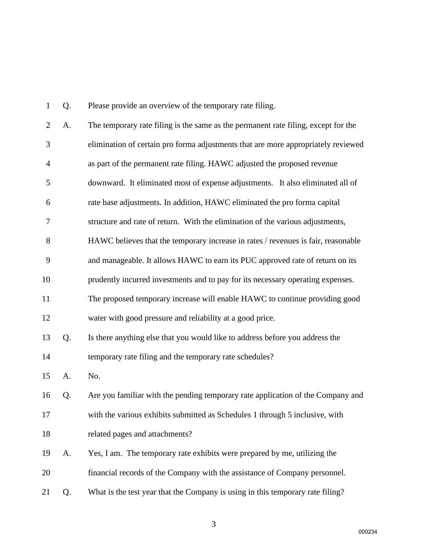| 1              | Q. | Please provide an overview of the temporary rate filing.                           |
|----------------|----|------------------------------------------------------------------------------------|
| $\overline{2}$ | A. | The temporary rate filing is the same as the permanent rate filing, except for the |
| 3              |    | elimination of certain pro forma adjustments that are more appropriately reviewed  |
| 4              |    | as part of the permanent rate filing. HAWC adjusted the proposed revenue           |
| 5              |    | downward. It eliminated most of expense adjustments. It also eliminated all of     |
| 6              |    | rate base adjustments. In addition, HAWC eliminated the pro forma capital          |
| $\tau$         |    | structure and rate of return. With the elimination of the various adjustments,     |
| 8              |    | HAWC believes that the temporary increase in rates / revenues is fair, reasonable  |
| 9              |    | and manageable. It allows HAWC to earn its PUC approved rate of return on its      |
| 10             |    | prudently incurred investments and to pay for its necessary operating expenses.    |
| 11             |    | The proposed temporary increase will enable HAWC to continue providing good        |
| 12             |    | water with good pressure and reliability at a good price.                          |
| 13             | Q. | Is there anything else that you would like to address before you address the       |
| 14             |    | temporary rate filing and the temporary rate schedules?                            |
| 15             | A. | No.                                                                                |
| 16             | Q. | Are you familiar with the pending temporary rate application of the Company and    |
| 17             |    | with the various exhibits submitted as Schedules 1 through 5 inclusive, with       |
| 18             |    | related pages and attachments?                                                     |
| 19             | A. | Yes, I am. The temporary rate exhibits were prepared by me, utilizing the          |
| 20             |    | financial records of the Company with the assistance of Company personnel.         |
| 21             | Q. | What is the test year that the Company is using in this temporary rate filing?     |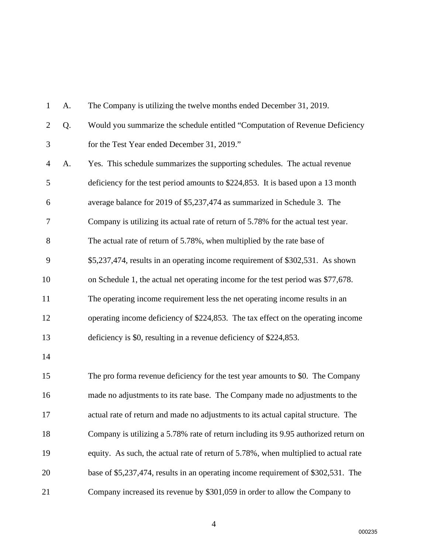| $\mathbf{1}$   | A. | The Company is utilizing the twelve months ended December 31, 2019.                 |
|----------------|----|-------------------------------------------------------------------------------------|
| $\overline{2}$ | Q. | Would you summarize the schedule entitled "Computation of Revenue Deficiency        |
| 3              |    | for the Test Year ended December 31, 2019."                                         |
| $\overline{4}$ | A. | Yes. This schedule summarizes the supporting schedules. The actual revenue          |
| 5              |    | deficiency for the test period amounts to \$224,853. It is based upon a 13 month    |
| 6              |    | average balance for 2019 of \$5,237,474 as summarized in Schedule 3. The            |
| 7              |    | Company is utilizing its actual rate of return of 5.78% for the actual test year.   |
| 8              |    | The actual rate of return of 5.78%, when multiplied by the rate base of             |
| 9              |    | \$5,237,474, results in an operating income requirement of \$302,531. As shown      |
| 10             |    | on Schedule 1, the actual net operating income for the test period was \$77,678.    |
| 11             |    | The operating income requirement less the net operating income results in an        |
| 12             |    | operating income deficiency of \$224,853. The tax effect on the operating income    |
| 13             |    | deficiency is \$0, resulting in a revenue deficiency of \$224,853.                  |
| 14             |    |                                                                                     |
| 15             |    | The pro forma revenue deficiency for the test year amounts to \$0. The Company      |
| 16             |    | made no adjustments to its rate base. The Company made no adjustments to the        |
| 17             |    | actual rate of return and made no adjustments to its actual capital structure. The  |
| 18             |    | Company is utilizing a 5.78% rate of return including its 9.95 authorized return on |
| 19             |    | equity. As such, the actual rate of return of 5.78%, when multiplied to actual rate |
| 20             |    | base of \$5,237,474, results in an operating income requirement of \$302,531. The   |
| 21             |    | Company increased its revenue by \$301,059 in order to allow the Company to         |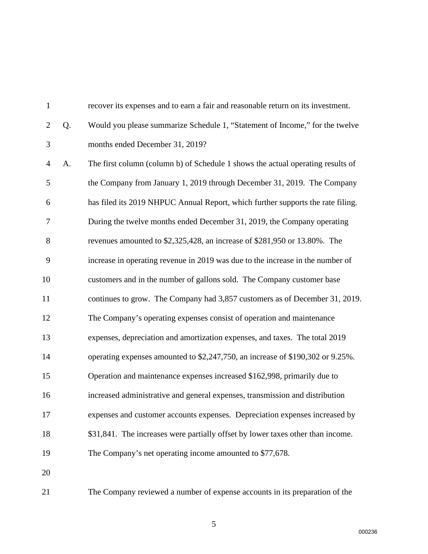| $\mathbf{1}$   |    | recover its expenses and to earn a fair and reasonable return on its investment. |
|----------------|----|----------------------------------------------------------------------------------|
| $\overline{2}$ | Q. | Would you please summarize Schedule 1, "Statement of Income," for the twelve     |
| 3              |    | months ended December 31, 2019?                                                  |
| $\overline{4}$ | A. | The first column (column b) of Schedule 1 shows the actual operating results of  |
| 5              |    | the Company from January 1, 2019 through December 31, 2019. The Company          |
| 6              |    | has filed its 2019 NHPUC Annual Report, which further supports the rate filing.  |
| 7              |    | During the twelve months ended December 31, 2019, the Company operating          |
| $8\,$          |    | revenues amounted to \$2,325,428, an increase of \$281,950 or 13.80%. The        |
| 9              |    | increase in operating revenue in 2019 was due to the increase in the number of   |
| 10             |    | customers and in the number of gallons sold. The Company customer base           |
| 11             |    | continues to grow. The Company had 3,857 customers as of December 31, 2019.      |
| 12             |    | The Company's operating expenses consist of operation and maintenance            |
| 13             |    | expenses, depreciation and amortization expenses, and taxes. The total 2019      |
| 14             |    | operating expenses amounted to \$2,247,750, an increase of \$190,302 or 9.25%.   |
| 15             |    | Operation and maintenance expenses increased \$162,998, primarily due to         |
| 16             |    | increased administrative and general expenses, transmission and distribution     |
| 17             |    | expenses and customer accounts expenses. Depreciation expenses increased by      |
| 18             |    | \$31,841. The increases were partially offset by lower taxes other than income.  |
| 19             |    | The Company's net operating income amounted to \$77,678.                         |
| 20             |    |                                                                                  |
| 21             |    | The Company reviewed a number of expense accounts in its preparation of the      |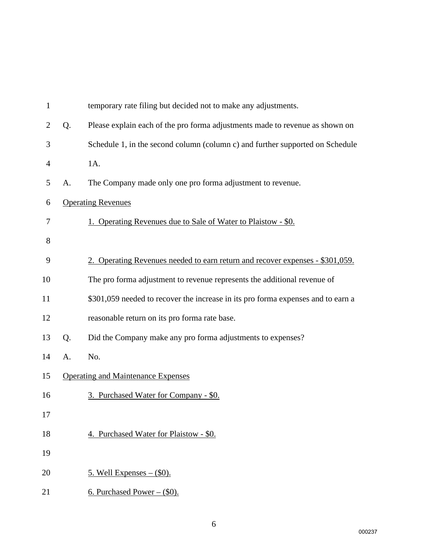| $\mathbf{1}$   |    | temporary rate filing but decided not to make any adjustments.                   |
|----------------|----|----------------------------------------------------------------------------------|
| $\overline{2}$ | Q. | Please explain each of the pro forma adjustments made to revenue as shown on     |
| 3              |    | Schedule 1, in the second column (column c) and further supported on Schedule    |
| 4              |    | 1A.                                                                              |
| 5              | A. | The Company made only one pro forma adjustment to revenue.                       |
| 6              |    | <b>Operating Revenues</b>                                                        |
| 7              |    | 1. Operating Revenues due to Sale of Water to Plaistow - \$0.                    |
| 8              |    |                                                                                  |
| 9              |    | 2. Operating Revenues needed to earn return and recover expenses - \$301,059.    |
| 10             |    | The pro forma adjustment to revenue represents the additional revenue of         |
| 11             |    | \$301,059 needed to recover the increase in its pro forma expenses and to earn a |
| 12             |    | reasonable return on its pro forma rate base.                                    |
| 13             | Q. | Did the Company make any pro forma adjustments to expenses?                      |
| 14             | A. | No.                                                                              |
| 15             |    | <b>Operating and Maintenance Expenses</b>                                        |
| 16             |    | 3. Purchased Water for Company - \$0.                                            |
| 17             |    |                                                                                  |
| 18             |    | 4. Purchased Water for Plaistow - \$0.                                           |
| 19             |    |                                                                                  |
| 20             |    | <u>5. Well Expenses – <math>(\\$0)</math>.</u>                                   |
| 21             |    | 6. Purchased Power $-$ (\$0).                                                    |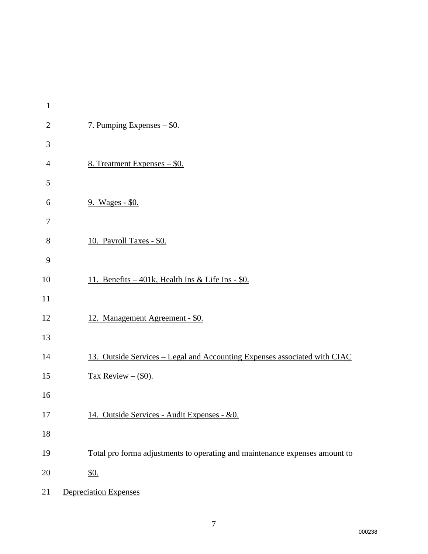| $\mathbf{1}$   |                                                                             |
|----------------|-----------------------------------------------------------------------------|
| $\mathbf{2}$   | 7. Pumping Expenses – \$0.                                                  |
| 3              |                                                                             |
| $\overline{4}$ | 8. Treatment Expenses - \$0.                                                |
| 5              |                                                                             |
| 6              | 9. Wages - \$0.                                                             |
| 7              |                                                                             |
| $8\,$          | 10. Payroll Taxes - \$0.                                                    |
| 9              |                                                                             |
| 10             | 11. Benefits – 401k, Health Ins & Life Ins - \$0.                           |
| 11             |                                                                             |
| 12             | 12. Management Agreement - \$0.                                             |
| 13             |                                                                             |
| 14             | 13. Outside Services - Legal and Accounting Expenses associated with CIAC   |
| 15             | Tax Review $-$ (\$0).                                                       |
| 16             |                                                                             |
| 17             | 14. Outside Services - Audit Expenses - &0.                                 |
| 18             |                                                                             |
| 19             | Total pro forma adjustments to operating and maintenance expenses amount to |
| 20             | $\underline{\$0}$ .                                                         |
| 21             | <b>Depreciation Expenses</b>                                                |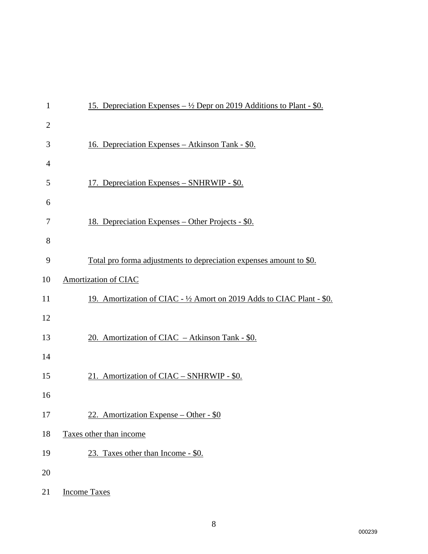| $\mathbf{1}$   | <u>15. Depreciation Expenses – <math>\frac{1}{2}</math> Depr on 2019 Additions to Plant - \$0.</u> |
|----------------|----------------------------------------------------------------------------------------------------|
| $\overline{2}$ |                                                                                                    |
| 3              | <u> 16. Depreciation Expenses – Atkinson Tank - \$0.</u>                                           |
| $\overline{4}$ |                                                                                                    |
| 5              | 17. Depreciation Expenses – SNHRWIP - \$0.                                                         |
| 6              |                                                                                                    |
| 7              | <u> 18. Depreciation Expenses – Other Projects - \$0.</u>                                          |
| 8              |                                                                                                    |
| 9              | <u>Total pro forma adjustments to depreciation expenses amount to \$0.</u>                         |
| 10             | Amortization of CIAC                                                                               |
| 11             | 19. Amortization of CIAC - 1/2 Amort on 2019 Adds to CIAC Plant - \$0.                             |
| 12             |                                                                                                    |
| 13             | 20. Amortization of CIAC - Atkinson Tank - \$0.                                                    |
| 14             |                                                                                                    |
| 15             | 21. Amortization of CIAC - SNHRWIP - \$0.                                                          |
| 16             |                                                                                                    |
| 17             | 22. Amortization Expense – Other - $$0$                                                            |
| 18             | Taxes other than income                                                                            |
| 19             | 23. Taxes other than Income - \$0.                                                                 |
| 20             |                                                                                                    |
| 21             | <b>Income Taxes</b>                                                                                |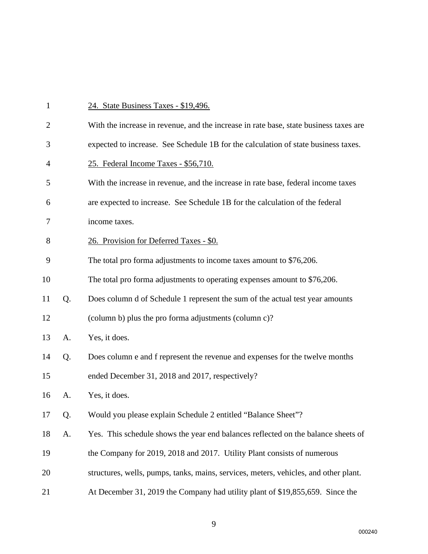| $\mathbf{1}$   |    | 24. State Business Taxes - \$19,496.                                                  |
|----------------|----|---------------------------------------------------------------------------------------|
| $\overline{2}$ |    | With the increase in revenue, and the increase in rate base, state business taxes are |
| 3              |    | expected to increase. See Schedule 1B for the calculation of state business taxes.    |
| $\overline{4}$ |    | 25. Federal Income Taxes - \$56,710.                                                  |
| 5              |    | With the increase in revenue, and the increase in rate base, federal income taxes     |
| 6              |    | are expected to increase. See Schedule 1B for the calculation of the federal          |
| 7              |    | income taxes.                                                                         |
| 8              |    | 26. Provision for Deferred Taxes - \$0.                                               |
| 9              |    | The total pro forma adjustments to income taxes amount to \$76,206.                   |
| 10             |    | The total pro forma adjustments to operating expenses amount to \$76,206.             |
| 11             | Q. | Does column d of Schedule 1 represent the sum of the actual test year amounts         |
| 12             |    | (column b) plus the pro forma adjustments (column c)?                                 |
| 13             | A. | Yes, it does.                                                                         |
| 14             | Q. | Does column e and f represent the revenue and expenses for the twelve months          |
| 15             |    | ended December 31, 2018 and 2017, respectively?                                       |
| 16             | A. | Yes, it does.                                                                         |
| 17             | Q. | Would you please explain Schedule 2 entitled "Balance Sheet"?                         |
| 18             | A. | Yes. This schedule shows the year end balances reflected on the balance sheets of     |
| 19             |    | the Company for 2019, 2018 and 2017. Utility Plant consists of numerous               |
| 20             |    | structures, wells, pumps, tanks, mains, services, meters, vehicles, and other plant.  |
| 21             |    | At December 31, 2019 the Company had utility plant of \$19,855,659. Since the         |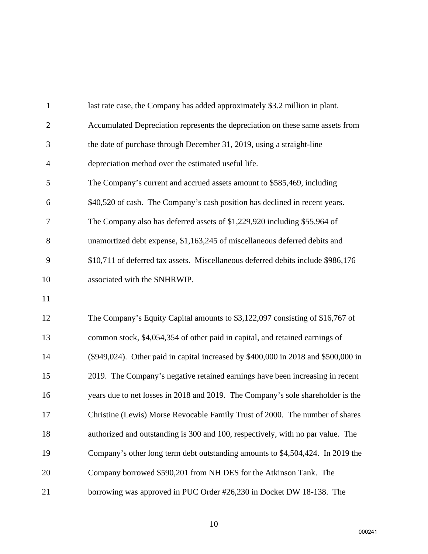| $\mathbf{1}$   | last rate case, the Company has added approximately \$3.2 million in plant.        |
|----------------|------------------------------------------------------------------------------------|
| $\overline{2}$ | Accumulated Depreciation represents the depreciation on these same assets from     |
| 3              | the date of purchase through December 31, 2019, using a straight-line              |
| $\overline{4}$ | depreciation method over the estimated useful life.                                |
| 5              | The Company's current and accrued assets amount to \$585,469, including            |
| 6              | \$40,520 of cash. The Company's cash position has declined in recent years.        |
| 7              | The Company also has deferred assets of \$1,229,920 including \$55,964 of          |
| 8              | unamortized debt expense, \$1,163,245 of miscellaneous deferred debits and         |
| 9              | \$10,711 of deferred tax assets. Miscellaneous deferred debits include \$986,176   |
| 10             | associated with the SNHRWIP.                                                       |
| 11             |                                                                                    |
| 12             | The Company's Equity Capital amounts to \$3,122,097 consisting of \$16,767 of      |
| 13             | common stock, \$4,054,354 of other paid in capital, and retained earnings of       |
| 14             | (\$949,024). Other paid in capital increased by \$400,000 in 2018 and \$500,000 in |
| 15             | 2019. The Company's negative retained earnings have been increasing in recent      |
| 16             | years due to net losses in 2018 and 2019. The Company's sole shareholder is the    |
| 17             | Christine (Lewis) Morse Revocable Family Trust of 2000. The number of shares       |
| 18             | authorized and outstanding is 300 and 100, respectively, with no par value. The    |
| 19             | Company's other long term debt outstanding amounts to \$4,504,424. In 2019 the     |
| 20             | Company borrowed \$590,201 from NH DES for the Atkinson Tank. The                  |
| 21             | borrowing was approved in PUC Order #26,230 in Docket DW 18-138. The               |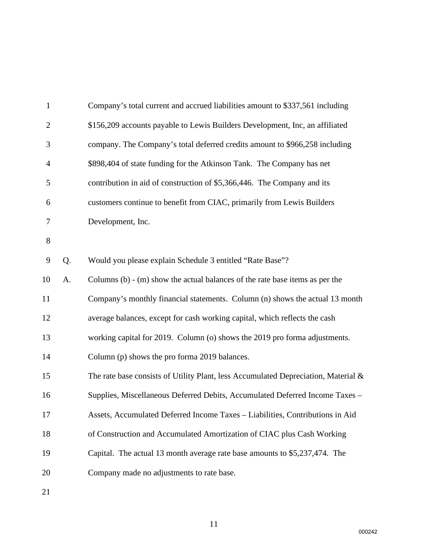| $\mathbf{1}$   |    | Company's total current and accrued liabilities amount to \$337,561 including         |
|----------------|----|---------------------------------------------------------------------------------------|
| $\overline{2}$ |    | \$156,209 accounts payable to Lewis Builders Development, Inc, an affiliated          |
| 3              |    | company. The Company's total deferred credits amount to \$966,258 including           |
| $\overline{4}$ |    | \$898,404 of state funding for the Atkinson Tank. The Company has net                 |
| 5              |    | contribution in aid of construction of \$5,366,446. The Company and its               |
| 6              |    | customers continue to benefit from CIAC, primarily from Lewis Builders                |
| 7              |    | Development, Inc.                                                                     |
| $8\,$          |    |                                                                                       |
| 9              | Q. | Would you please explain Schedule 3 entitled "Rate Base"?                             |
| 10             | A. | Columns $(b)$ - $(m)$ show the actual balances of the rate base items as per the      |
| 11             |    | Company's monthly financial statements. Column (n) shows the actual 13 month          |
| 12             |    | average balances, except for cash working capital, which reflects the cash            |
| 13             |    | working capital for 2019. Column (o) shows the 2019 pro forma adjustments.            |
| 14             |    | Column (p) shows the pro forma 2019 balances.                                         |
| 15             |    | The rate base consists of Utility Plant, less Accumulated Depreciation, Material $\&$ |
| 16             |    | Supplies, Miscellaneous Deferred Debits, Accumulated Deferred Income Taxes -          |
| 17             |    | Assets, Accumulated Deferred Income Taxes - Liabilities, Contributions in Aid         |
| 18             |    | of Construction and Accumulated Amortization of CIAC plus Cash Working                |
| 19             |    | Capital. The actual 13 month average rate base amounts to \$5,237,474. The            |
| 20             |    | Company made no adjustments to rate base.                                             |
|                |    |                                                                                       |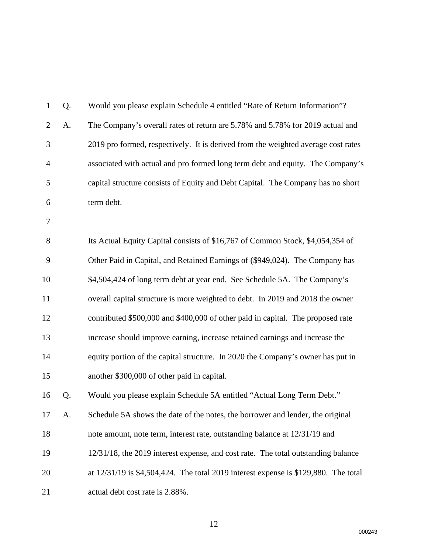| $\mathbf{1}$   | Q. | Would you please explain Schedule 4 entitled "Rate of Return Information"?          |
|----------------|----|-------------------------------------------------------------------------------------|
| $\overline{2}$ | A. | The Company's overall rates of return are 5.78% and 5.78% for 2019 actual and       |
| 3              |    | 2019 pro formed, respectively. It is derived from the weighted average cost rates   |
| $\overline{4}$ |    | associated with actual and pro formed long term debt and equity. The Company's      |
| 5              |    | capital structure consists of Equity and Debt Capital. The Company has no short     |
| 6              |    | term debt.                                                                          |
| 7              |    |                                                                                     |
| 8              |    | Its Actual Equity Capital consists of \$16,767 of Common Stock, \$4,054,354 of      |
| 9              |    | Other Paid in Capital, and Retained Earnings of (\$949,024). The Company has        |
| 10             |    | \$4,504,424 of long term debt at year end. See Schedule 5A. The Company's           |
| 11             |    | overall capital structure is more weighted to debt. In 2019 and 2018 the owner      |
| 12             |    | contributed \$500,000 and \$400,000 of other paid in capital. The proposed rate     |
| 13             |    | increase should improve earning, increase retained earnings and increase the        |
| 14             |    | equity portion of the capital structure. In 2020 the Company's owner has put in     |
| 15             |    | another \$300,000 of other paid in capital.                                         |
| 16             | Q. | Would you please explain Schedule 5A entitled "Actual Long Term Debt."              |
| 17             | A  | Schedule 5A shows the date of the notes, the borrower and lender, the original      |
| 18             |    | note amount, note term, interest rate, outstanding balance at 12/31/19 and          |
| 19             |    | 12/31/18, the 2019 interest expense, and cost rate. The total outstanding balance   |
| 20             |    | at 12/31/19 is \$4,504,424. The total 2019 interest expense is \$129,880. The total |
| 21             |    | actual debt cost rate is 2.88%.                                                     |